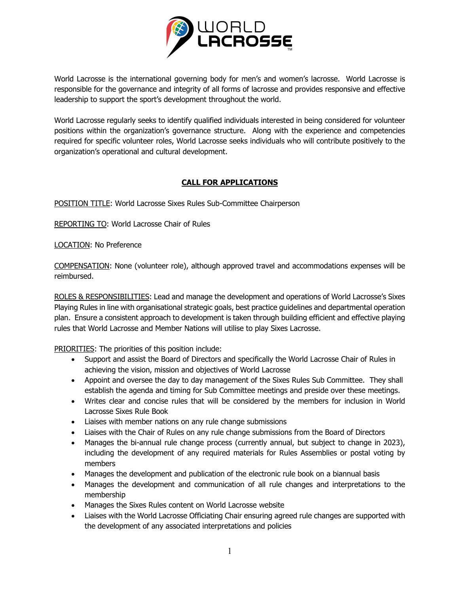

World Lacrosse is the international governing body for men's and women's lacrosse. World Lacrosse is responsible for the governance and integrity of all forms of lacrosse and provides responsive and effective leadership to support the sport's development throughout the world.

World Lacrosse regularly seeks to identify qualified individuals interested in being considered for volunteer positions within the organization's governance structure. Along with the experience and competencies required for specific volunteer roles, World Lacrosse seeks individuals who will contribute positively to the organization's operational and cultural development.

## **CALL FOR APPLICATIONS**

POSITION TITLE: World Lacrosse Sixes Rules Sub-Committee Chairperson

REPORTING TO: World Lacrosse Chair of Rules

LOCATION: No Preference

COMPENSATION: None (volunteer role), although approved travel and accommodations expenses will be reimbursed.

ROLES & RESPONSIBILITIES: Lead and manage the development and operations of World Lacrosse's Sixes Playing Rules in line with organisational strategic goals, best practice guidelines and departmental operation plan. Ensure a consistent approach to development is taken through building efficient and effective playing rules that World Lacrosse and Member Nations will utilise to play Sixes Lacrosse.

PRIORITIES: The priorities of this position include:

- Support and assist the Board of Directors and specifically the World Lacrosse Chair of Rules in achieving the vision, mission and objectives of World Lacrosse
- Appoint and oversee the day to day management of the Sixes Rules Sub Committee. They shall establish the agenda and timing for Sub Committee meetings and preside over these meetings.
- Writes clear and concise rules that will be considered by the members for inclusion in World Lacrosse Sixes Rule Book
- Liaises with member nations on any rule change submissions
- Liaises with the Chair of Rules on any rule change submissions from the Board of Directors
- Manages the bi-annual rule change process (currently annual, but subject to change in 2023), including the development of any required materials for Rules Assemblies or postal voting by members
- Manages the development and publication of the electronic rule book on a biannual basis
- Manages the development and communication of all rule changes and interpretations to the membership
- Manages the Sixes Rules content on World Lacrosse website
- Liaises with the World Lacrosse Officiating Chair ensuring agreed rule changes are supported with the development of any associated interpretations and policies